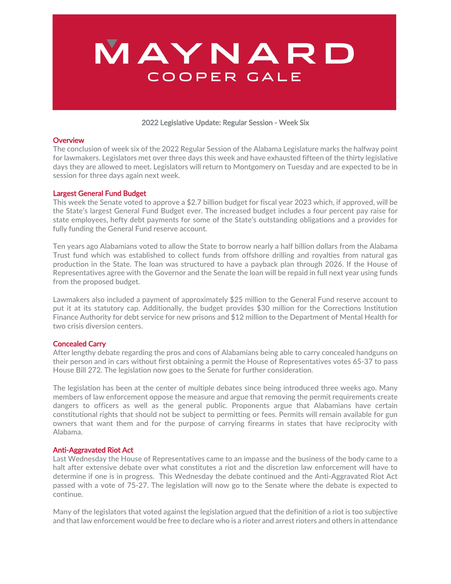

#### 2022 Legislative Update: Regular Session ‐ Week Six

#### **Overview**

The conclusion of week six of the 2022 Regular Session of the Alabama Legislature marks the halfway point for lawmakers. Legislators met over three days this week and have exhausted fifteen of the thirty legislative days they are allowed to meet. Legislators will return to Montgomery on Tuesday and are expected to be in session for three days again next week.

#### Largest General Fund Budget

This week the Senate voted to approve a \$2.7 billion budget for fiscal year 2023 which, if approved, will be the State's largest General Fund Budget ever. The increased budget includes a four percent pay raise for state employees, hefty debt payments for some of the State's outstanding obligations and a provides for fully funding the General Fund reserve account.

Ten years ago Alabamians voted to allow the State to borrow nearly a half billion dollars from the Alabama Trust fund which was established to collect funds from offshore drilling and royalties from natural gas production in the State. The loan was structured to have a payback plan through 2026. If the House of Representatives agree with the Governor and the Senate the loan will be repaid in full next year using funds from the proposed budget.

Lawmakers also included a payment of approximately \$25 million to the General Fund reserve account to put it at its statutory cap. Additionally, the budget provides \$30 million for the Corrections Institution Finance Authority for debt service for new prisons and \$12 million to the Department of Mental Health for two crisis diversion centers.

## Concealed Carry

After lengthy debate regarding the pros and cons of Alabamians being able to carry concealed handguns on their person and in cars without first obtaining a permit the House of Representatives votes 65‐37 to pass House Bill 272. The legislation now goes to the Senate for further consideration.

The legislation has been at the center of multiple debates since being introduced three weeks ago. Many members of law enforcement oppose the measure and argue that removing the permit requirements create dangers to officers as well as the general public. Proponents argue that Alabamians have certain constitutional rights that should not be subject to permitting or fees. Permits will remain available for gun owners that want them and for the purpose of carrying firearms in states that have reciprocity with Alabama.

## Anti‐Aggravated Riot Act

Last Wednesday the House of Representatives came to an impasse and the business of the body came to a halt after extensive debate over what constitutes a riot and the discretion law enforcement will have to determine if one is in progress. This Wednesday the debate continued and the Anti‐Aggravated Riot Act passed with a vote of 75‐27. The legislation will now go to the Senate where the debate is expected to continue.

Many of the legislators that voted against the legislation argued that the definition of a riot is too subjective and that law enforcement would be free to declare who is a rioter and arrest rioters and others in attendance